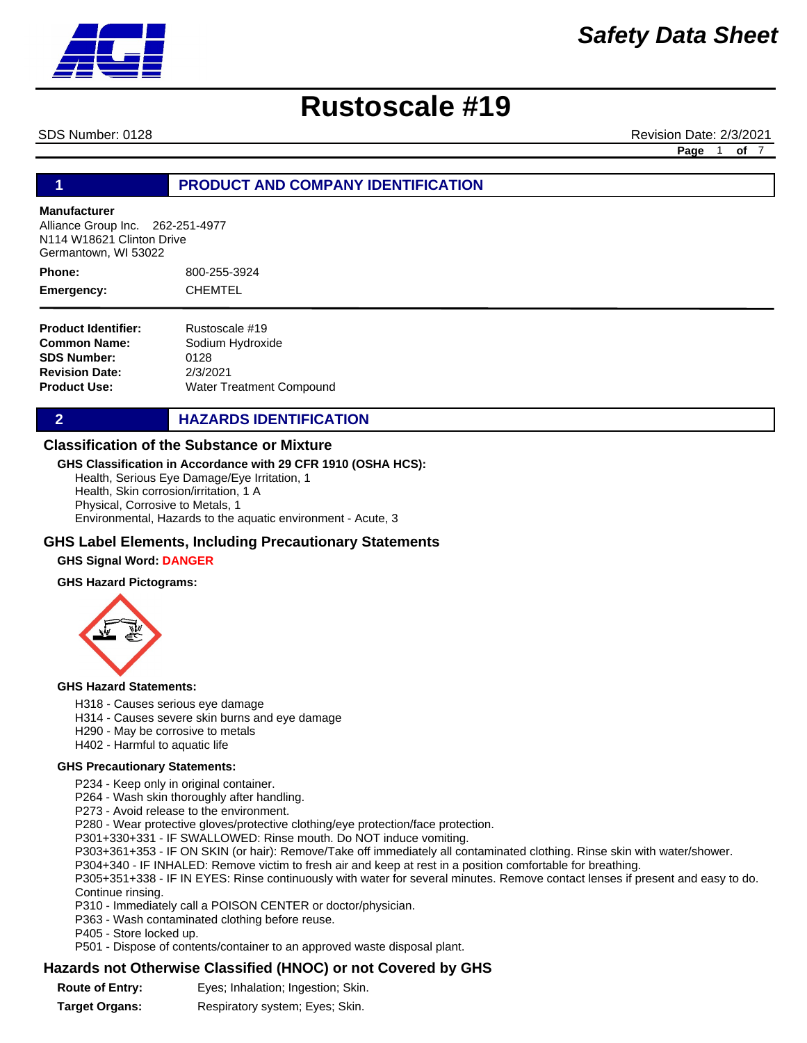

# **Rustoscale #19**

SDS Number: 0128 **Revision Date: 2/3/2021** Revision Date: 2/3/2021

**Page** 1 **of** 7

#### **1 PRODUCT AND COMPANY IDENTIFICATION**

#### **Manufacturer**

Alliance Group Inc. 262-251-4977 N114 W18621 Clinton Drive Germantown, WI 53022

800-255-3924 CHEMTEL **Phone: Emergency:**

**Product Identifier: Common Name: SDS Number: Revision Date: Product Use:** Rustoscale #19 Sodium Hydroxide 0128 2/3/2021 Water Treatment Compound

**2 HAZARDS IDENTIFICATION** 

#### **Classification of the Substance or Mixture**

#### **GHS Classification in Accordance with 29 CFR 1910 (OSHA HCS):**

Health, Serious Eye Damage/Eye Irritation, 1 Health, Skin corrosion/irritation, 1 A Physical, Corrosive to Metals, 1 Environmental, Hazards to the aquatic environment - Acute, 3

#### **GHS Label Elements, Including Precautionary Statements**

#### **GHS Signal Word: DANGER**

#### **GHS Hazard Pictograms:**



#### **GHS Hazard Statements:**

- H318 Causes serious eye damage
- H314 Causes severe skin burns and eye damage
- H290 May be corrosive to metals
- H402 Harmful to aquatic life

#### **GHS Precautionary Statements:**

P234 - Keep only in original container.

P264 - Wash skin thoroughly after handling.

P273 - Avoid release to the environment.

P280 - Wear protective gloves/protective clothing/eye protection/face protection.

P301+330+331 - IF SWALLOWED: Rinse mouth. Do NOT induce vomiting.

P303+361+353 - IF ON SKIN (or hair): Remove/Take off immediately all contaminated clothing. Rinse skin with water/shower.

P304+340 - IF INHALED: Remove victim to fresh air and keep at rest in a position comfortable for breathing.

P305+351+338 - IF IN EYES: Rinse continuously with water for several minutes. Remove contact lenses if present and easy to do. Continue rinsing.

P310 - Immediately call a POISON CENTER or doctor/physician.

P363 - Wash contaminated clothing before reuse.

P405 - Store locked up.

P501 - Dispose of contents/container to an approved waste disposal plant.

#### **Hazards not Otherwise Classified (HNOC) or not Covered by GHS**

| <b>Route of Entry:</b> | Eyes; Inhalation; Ingestion; Skin. |
|------------------------|------------------------------------|
|                        |                                    |

**Target Organs:** Respiratory system; Eyes; Skin.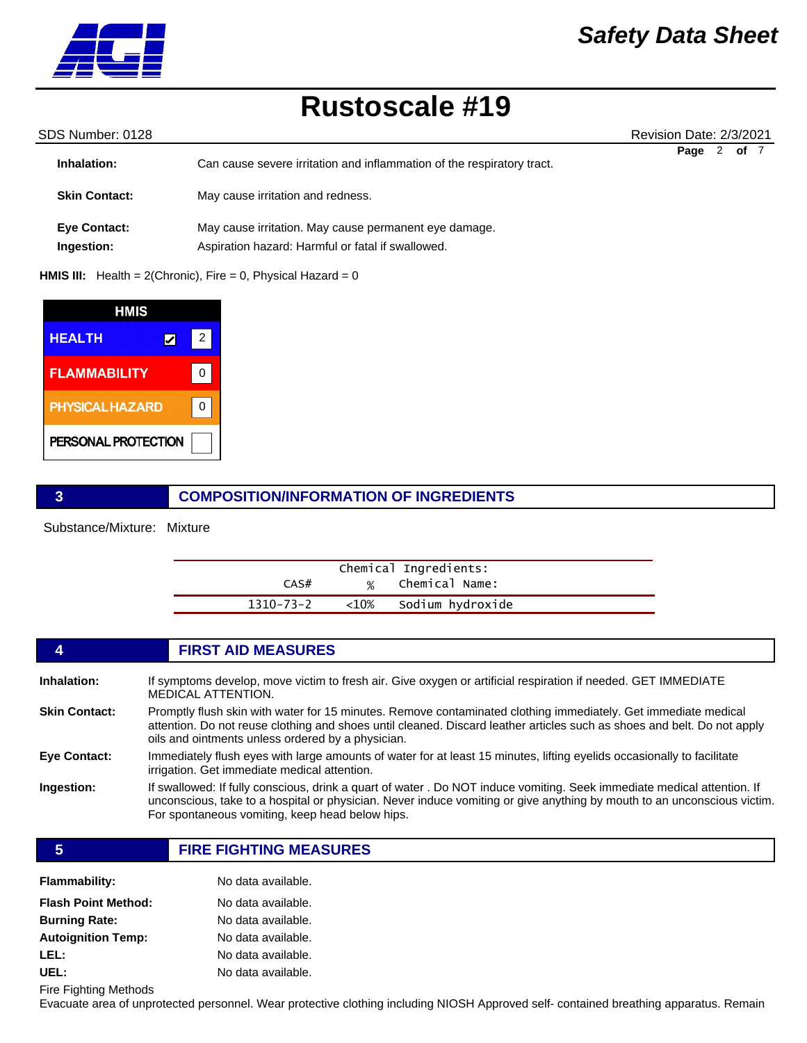

## **Rustoscale #19**

| SDS Number: 0128           |                                                                                                            | Revision Date: 2/3/2021 |
|----------------------------|------------------------------------------------------------------------------------------------------------|-------------------------|
| Inhalation:                | Can cause severe irritation and inflammation of the respiratory tract.                                     | 2<br>Page<br>of 7       |
| <b>Skin Contact:</b>       | May cause irritation and redness.                                                                          |                         |
| Eye Contact:<br>Ingestion: | May cause irritation. May cause permanent eye damage.<br>Aspiration hazard: Harmful or fatal if swallowed. |                         |
|                            |                                                                                                            |                         |

**HMIS III:** Health = 2(Chronic), Fire = 0, Physical Hazard = 0

| <b>HMIS</b>            |   |  |
|------------------------|---|--|
| <b>HEALTH</b>          | 2 |  |
| <b>FLAMMABILITY</b>    |   |  |
| <b>PHYSICAL HAZARD</b> |   |  |
| PERSONAL PROTECTION    |   |  |

### **3 COMPOSITION/INFORMATION OF INGREDIENTS**

Substance/Mixture: Mixture

|           |           | Chemical Ingredients: |  |
|-----------|-----------|-----------------------|--|
| CAS#      |           | % Chemical Name:      |  |
| 1310-73-2 | ${<}10\%$ | Sodium hydroxide      |  |

|                      | <b>FIRST AID MEASURES</b>                                                                                                                                                                                                                                                                             |
|----------------------|-------------------------------------------------------------------------------------------------------------------------------------------------------------------------------------------------------------------------------------------------------------------------------------------------------|
| Inhalation:          | If symptoms develop, move victim to fresh air. Give oxygen or artificial respiration if needed. GET IMMEDIATE<br><b>MEDICAL ATTENTION.</b>                                                                                                                                                            |
| <b>Skin Contact:</b> | Promptly flush skin with water for 15 minutes. Remove contaminated clothing immediately. Get immediate medical<br>attention. Do not reuse clothing and shoes until cleaned. Discard leather articles such as shoes and belt. Do not apply<br>oils and ointments unless ordered by a physician.        |
| Eye Contact:         | Immediately flush eyes with large amounts of water for at least 15 minutes, lifting eyelids occasionally to facilitate<br>irrigation. Get immediate medical attention.                                                                                                                                |
| Ingestion:           | If swallowed: If fully conscious, drink a quart of water . Do NOT induce vomiting. Seek immediate medical attention. If<br>unconscious, take to a hospital or physician. Never induce vomiting or give anything by mouth to an unconscious victim.<br>For spontaneous vomiting, keep head below hips. |

**5 FIRE FIGHTING MEASURES**

| <b>Flammability:</b>       | No data available. |
|----------------------------|--------------------|
| <b>Flash Point Method:</b> | No data available. |
| <b>Burning Rate:</b>       | No data available. |
| <b>Autoignition Temp:</b>  | No data available. |
| LEL:                       | No data available. |
| UEL:                       | No data available. |

Fire Fighting Methods

Evacuate area of unprotected personnel. Wear protective clothing including NIOSH Approved self- contained breathing apparatus. Remain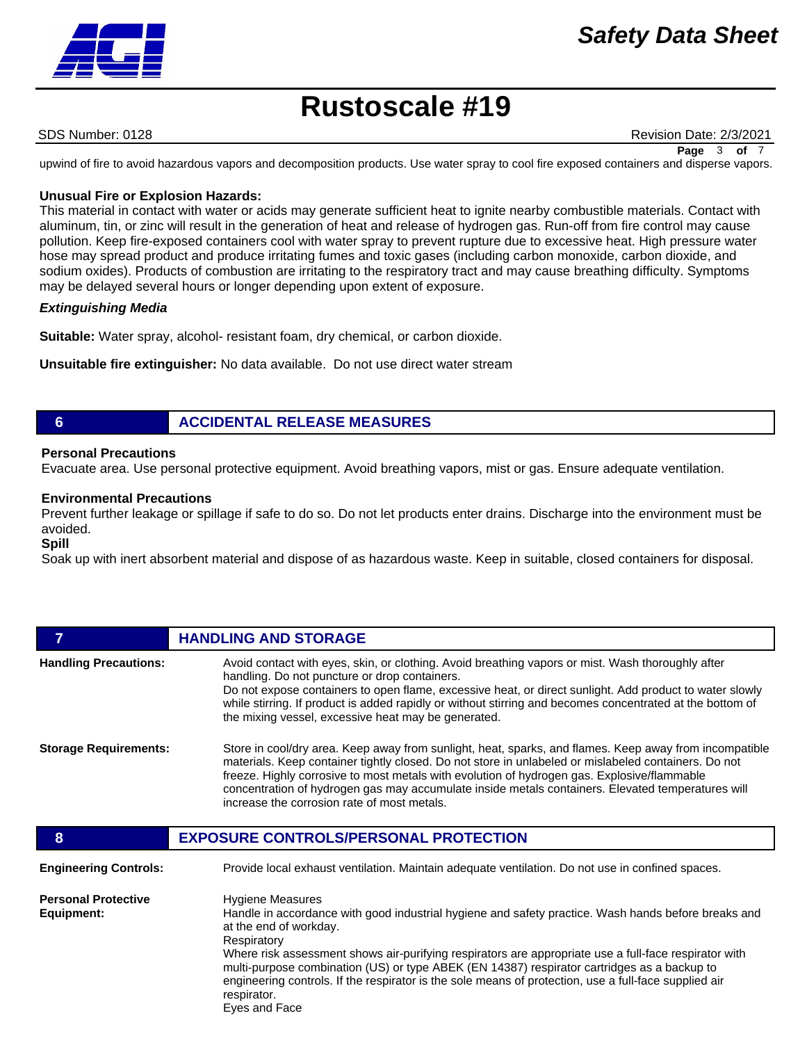

# **Rustoscale #19**

SDS Number: 0128 **Revision Date: 2/3/2021** 

**Page** 3 **of** 7

upwind of fire to avoid hazardous vapors and decomposition products. Use water spray to cool fire exposed containers and disperse vapors.

#### **Unusual Fire or Explosion Hazards:**

This material in contact with water or acids may generate sufficient heat to ignite nearby combustible materials. Contact with aluminum, tin, or zinc will result in the generation of heat and release of hydrogen gas. Run-off from fire control may cause pollution. Keep fire-exposed containers cool with water spray to prevent rupture due to excessive heat. High pressure water hose may spread product and produce irritating fumes and toxic gases (including carbon monoxide, carbon dioxide, and sodium oxides). Products of combustion are irritating to the respiratory tract and may cause breathing difficulty. Symptoms may be delayed several hours or longer depending upon extent of exposure.

#### *Extinguishing Media*

**Suitable:** Water spray, alcohol- resistant foam, dry chemical, or carbon dioxide.

**Unsuitable fire extinguisher:** No data available. Do not use direct water stream

#### **6 ACCIDENTAL RELEASE MEASURES**

#### **Personal Precautions**

Evacuate area. Use personal protective equipment. Avoid breathing vapors, mist or gas. Ensure adequate ventilation.

#### **Environmental Precautions**

Prevent further leakage or spillage if safe to do so. Do not let products enter drains. Discharge into the environment must be avoided.

#### **Spill**

Soak up with inert absorbent material and dispose of as hazardous waste. Keep in suitable, closed containers for disposal.

|                              | <b>HANDLING AND STORAGE</b>                                                                                                                                                                                                                                                                                                                                                                                                                                       |
|------------------------------|-------------------------------------------------------------------------------------------------------------------------------------------------------------------------------------------------------------------------------------------------------------------------------------------------------------------------------------------------------------------------------------------------------------------------------------------------------------------|
| <b>Handling Precautions:</b> | Avoid contact with eyes, skin, or clothing. Avoid breathing vapors or mist. Wash thoroughly after<br>handling. Do not puncture or drop containers.<br>Do not expose containers to open flame, excessive heat, or direct sunlight. Add product to water slowly<br>while stirring. If product is added rapidly or without stirring and becomes concentrated at the bottom of<br>the mixing vessel, excessive heat may be generated.                                 |
| <b>Storage Requirements:</b> | Store in cool/dry area. Keep away from sunlight, heat, sparks, and flames. Keep away from incompatible<br>materials. Keep container tightly closed. Do not store in unlabeled or mislabeled containers. Do not<br>freeze. Highly corrosive to most metals with evolution of hydrogen gas. Explosive/flammable<br>concentration of hydrogen gas may accumulate inside metals containers. Elevated temperatures will<br>increase the corrosion rate of most metals. |
|                              |                                                                                                                                                                                                                                                                                                                                                                                                                                                                   |
| 8                            | <b>EXPOSURE CONTROLS/PERSONAL PROTECTION</b>                                                                                                                                                                                                                                                                                                                                                                                                                      |
| <b>Engineering Controls:</b> | Provide local exhaust ventilation. Maintain adequate ventilation. Do not use in confined spaces.                                                                                                                                                                                                                                                                                                                                                                  |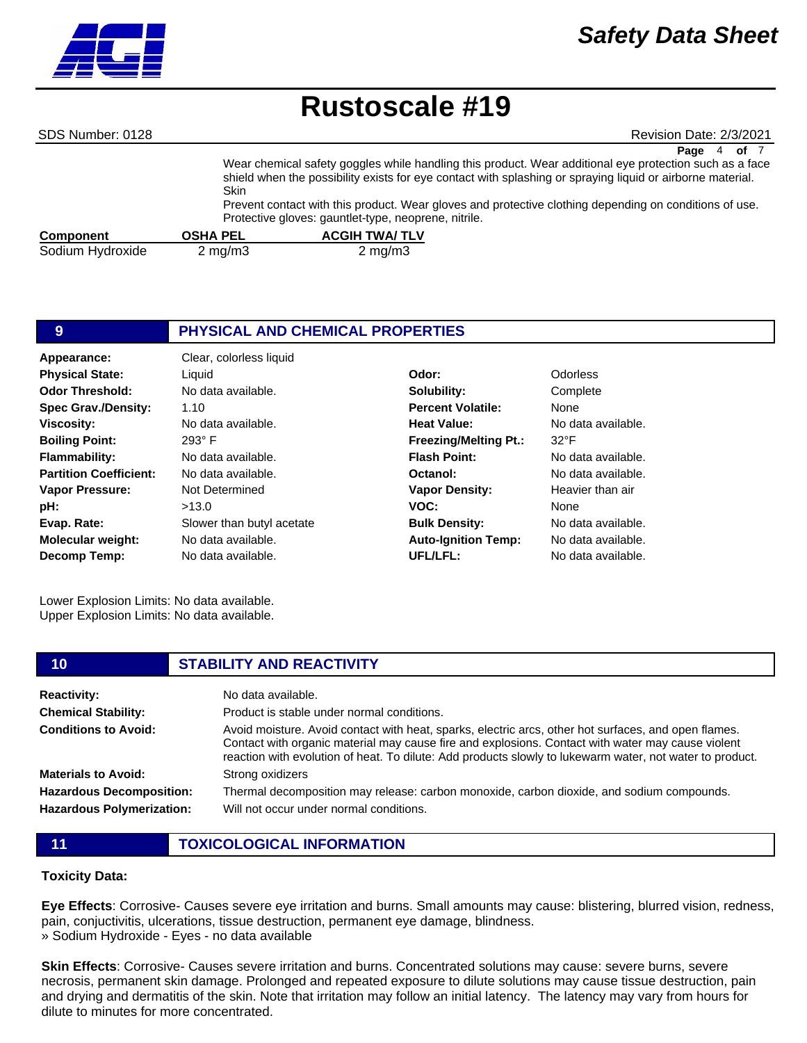# **Rustoscale #19**

SDS Number: 0128 **Revision Date: 2/3/2021** Revision Date: 2/3/2021

|                  | <b>Skin</b>        | Protective gloves: gauntlet-type, neoprene, nitrile. | of 7<br>Page<br>Wear chemical safety goggles while handling this product. Wear additional eye protection such as a face<br>shield when the possibility exists for eye contact with splashing or spraying liquid or airborne material.<br>Prevent contact with this product. Wear gloves and protective clothing depending on conditions of use. |  |
|------------------|--------------------|------------------------------------------------------|-------------------------------------------------------------------------------------------------------------------------------------------------------------------------------------------------------------------------------------------------------------------------------------------------------------------------------------------------|--|
| <b>Component</b> | <b>OSHA PEL</b>    | <b>ACGIH TWA/ TLV</b>                                |                                                                                                                                                                                                                                                                                                                                                 |  |
| Sodium Hydroxide | $2 \text{ mg/m}$ 3 | $2 \text{ mg/m}$                                     |                                                                                                                                                                                                                                                                                                                                                 |  |

#### **9 PHYSICAL AND CHEMICAL PROPERTIES Appearance:** Clear, colorless liquid No data available. 1.10 No data available. **Solubility: Percent Volatile: Heat Value:** Complete None ata available. **Odor Threshold: Spec Grav./Density: Viscosity: Physical State:** Liquid **Odor:** Odorless

| <b>Viscosity:</b>             | No data available.        | <b>Heat Value:</b>           | No data available. |
|-------------------------------|---------------------------|------------------------------|--------------------|
| <b>Boiling Point:</b>         | $293^\circ$ F             | <b>Freezing/Melting Pt.:</b> | $32^{\circ}F$      |
| <b>Flammability:</b>          | No data available.        | <b>Flash Point:</b>          | No data available. |
| <b>Partition Coefficient:</b> | No data available.        | Octanol:                     | No data available. |
| <b>Vapor Pressure:</b>        | Not Determined            | <b>Vapor Density:</b>        | Heavier than air   |
| pH:                           | >13.0                     | VOC:                         | None               |
| Evap. Rate:                   | Slower than butyl acetate | <b>Bulk Density:</b>         | No data available. |
| <b>Molecular weight:</b>      | No data available.        | <b>Auto-Ignition Temp:</b>   | No data available. |
| <b>Decomp Temp:</b>           | No data available.        | UFL/LFL:                     | No data available. |

Lower Explosion Limits: No data available. Upper Explosion Limits: No data available.

# **10 STABILITY AND REACTIVITY**

| <b>Reactivity:</b>               | No data available.                                                                                                                                                                                                                                                                                                    |
|----------------------------------|-----------------------------------------------------------------------------------------------------------------------------------------------------------------------------------------------------------------------------------------------------------------------------------------------------------------------|
| <b>Chemical Stability:</b>       | Product is stable under normal conditions.                                                                                                                                                                                                                                                                            |
| <b>Conditions to Avoid:</b>      | Avoid moisture. Avoid contact with heat, sparks, electric arcs, other hot surfaces, and open flames.<br>Contact with organic material may cause fire and explosions. Contact with water may cause violent<br>reaction with evolution of heat. To dilute: Add products slowly to lukewarm water, not water to product. |
| <b>Materials to Avoid:</b>       | Strong oxidizers                                                                                                                                                                                                                                                                                                      |
| <b>Hazardous Decomposition:</b>  | Thermal decomposition may release: carbon monoxide, carbon dioxide, and sodium compounds.                                                                                                                                                                                                                             |
| <b>Hazardous Polymerization:</b> | Will not occur under normal conditions.                                                                                                                                                                                                                                                                               |

**11 TOXICOLOGICAL INFORMATION**

#### **Toxicity Data:**

**Eye Effects**: Corrosive- Causes severe eye irritation and burns. Small amounts may cause: blistering, blurred vision, redness, pain, conjuctivitis, ulcerations, tissue destruction, permanent eye damage, blindness. » Sodium Hydroxide - Eyes - no data available

**Skin Effects**: Corrosive- Causes severe irritation and burns. Concentrated solutions may cause: severe burns, severe necrosis, permanent skin damage. Prolonged and repeated exposure to dilute solutions may cause tissue destruction, pain and drying and dermatitis of the skin. Note that irritation may follow an initial latency. The latency may vary from hours for dilute to minutes for more concentrated.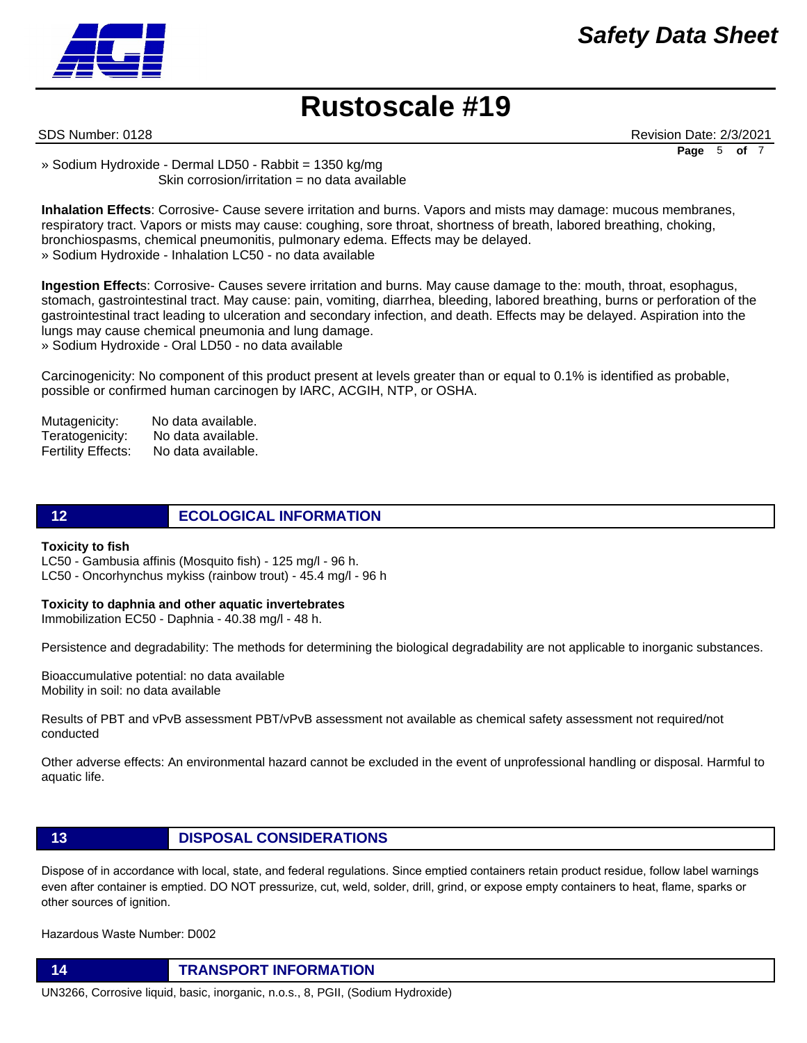



SDS Number: 0128 **Revision Date: 2/3/2021** Revision Date: 2/3/2021 **Page** 5 **of** 7

» Sodium Hydroxide - Dermal LD50 - Rabbit = 1350 kg/mg Skin corrosion/irritation = no data available

**Inhalation Effects**: Corrosive- Cause severe irritation and burns. Vapors and mists may damage: mucous membranes, respiratory tract. Vapors or mists may cause: coughing, sore throat, shortness of breath, labored breathing, choking, bronchiospasms, chemical pneumonitis, pulmonary edema. Effects may be delayed. » Sodium Hydroxide - Inhalation LC50 - no data available

**Ingestion Effect**s: Corrosive- Causes severe irritation and burns. May cause damage to the: mouth, throat, esophagus, stomach, gastrointestinal tract. May cause: pain, vomiting, diarrhea, bleeding, labored breathing, burns or perforation of the gastrointestinal tract leading to ulceration and secondary infection, and death. Effects may be delayed. Aspiration into the lungs may cause chemical pneumonia and lung damage.

» Sodium Hydroxide - Oral LD50 - no data available

Carcinogenicity: No component of this product present at levels greater than or equal to 0.1% is identified as probable, possible or confirmed human carcinogen by IARC, ACGIH, NTP, or OSHA.

Mutagenicity: No data available. Teratogenicity: No data available. Fertility Effects: No data available.

**12 ECOLOGICAL INFORMATION** 

#### **Toxicity to fish**

LC50 - Gambusia affinis (Mosquito fish) - 125 mg/l - 96 h. LC50 - Oncorhynchus mykiss (rainbow trout) - 45.4 mg/l - 96 h

#### **Toxicity to daphnia and other aquatic invertebrates**

Immobilization EC50 - Daphnia - 40.38 mg/l - 48 h.

Persistence and degradability: The methods for determining the biological degradability are not applicable to inorganic substances.

Bioaccumulative potential: no data available Mobility in soil: no data available

Results of PBT and vPvB assessment PBT/vPvB assessment not available as chemical safety assessment not required/not conducted

Other adverse effects: An environmental hazard cannot be excluded in the event of unprofessional handling or disposal. Harmful to aquatic life.

### **13 DISPOSAL CONSIDERATIONS**

Dispose of in accordance with local, state, and federal regulations. Since emptied containers retain product residue, follow label warnings even after container is emptied. DO NOT pressurize, cut, weld, solder, drill, grind, or expose empty containers to heat, flame, sparks or other sources of ignition.

Hazardous Waste Number: D002

**14 TRANSPORT INFORMATION**

UN3266, Corrosive liquid, basic, inorganic, n.o.s., 8, PGII, (Sodium Hydroxide)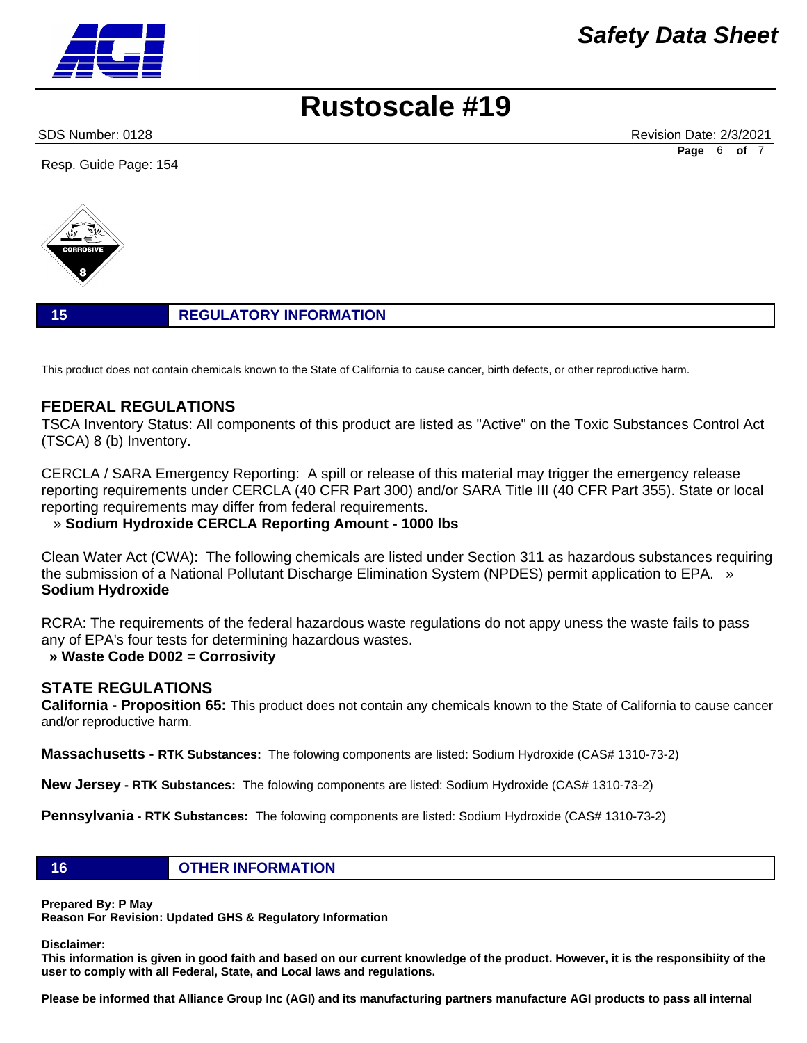

# **Rustoscale #19**

SDS Number: 0128 **Revision Date: 2/3/2021** Revision Date: 2/3/2021 **Page** 6 **of** 7

Resp. Guide Page: 154



### **15 REGULATORY INFORMATION**

This product does not contain chemicals known to the State of California to cause cancer, birth defects, or other reproductive harm.

### **FEDERAL REGULATIONS**

TSCA Inventory Status: All components of this product are listed as "Active" on the Toxic Substances Control Act (TSCA) 8 (b) Inventory.

CERCLA / SARA Emergency Reporting: A spill or release of this material may trigger the emergency release reporting requirements under CERCLA (40 CFR Part 300) and/or SARA Title III (40 CFR Part 355). State or local reporting requirements may differ from federal requirements.

#### » **Sodium Hydroxide CERCLA Reporting Amount - 1000 lbs**

Clean Water Act (CWA): The following chemicals are listed under Section 311 as hazardous substances requiring the submission of a National Pollutant Discharge Elimination System (NPDES) permit application to EPA. » **Sodium Hydroxide**

RCRA: The requirements of the federal hazardous waste regulations do not appy uness the waste fails to pass any of EPA's four tests for determining hazardous wastes.

#### **» Waste Code D002 = Corrosivity**

### **STATE REGULATIONS**

**California - Proposition 65:** This product does not contain any chemicals known to the State of California to cause cancer and/or reproductive harm.

**Massachusetts - RTK Substances:** The folowing components are listed: Sodium Hydroxide (CAS# 1310-73-2)

**New Jersey - RTK Substances:** The folowing components are listed: Sodium Hydroxide (CAS# 1310-73-2)

**Pennsylvania - RTK Substances:** The folowing components are listed: Sodium Hydroxide (CAS# 1310-73-2)

#### **16 OTHER INFORMATION**

**Prepared By: P May** 

**Reason For Revision: Updated GHS & Regulatory Information** 

**Disclaimer:** 

**This information is given in good faith and based on our current knowledge of the product. However, it is the responsibiity of the user to comply with all Federal, State, and Local laws and regulations.** 

**Please be informed that Alliance Group Inc (AGI) and its manufacturing partners manufacture AGI products to pass all internal**